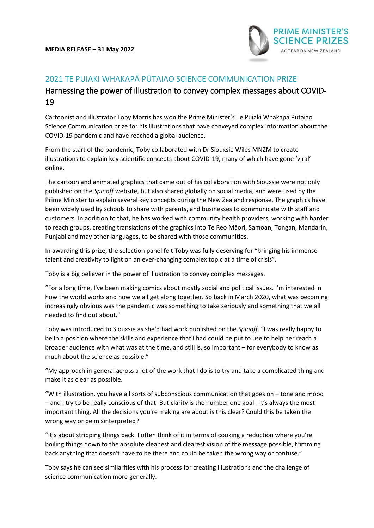

## 2021 TE PUIAKI WHAKAPĀ PŪTAIAO SCIENCE COMMUNICATION PRIZE

## Harnessing the power of illustration to convey complex messages about COVID-19

Cartoonist and illustrator Toby Morris has won the Prime Minister's Te Puiaki Whakapā Pūtaiao Science Communication prize for his illustrations that have conveyed complex information about the COVID-19 pandemic and have reached a global audience.

From the start of the pandemic, Toby collaborated with Dr Siouxsie Wiles MNZM to create illustrations to explain key scientific concepts about COVID-19, many of which have gone 'viral' online.

The cartoon and animated graphics that came out of his collaboration with Siouxsie were not only published on the *Spinoff* website, but also shared globally on social media, and were used by the Prime Minister to explain several key concepts during the New Zealand response. The graphics have been widely used by schools to share with parents, and businesses to communicate with staff and customers. In addition to that, he has worked with community health providers, working with harder to reach groups, creating translations of the graphics into Te Reo Māori, Samoan, Tongan, Mandarin, Punjabi and may other languages, to be shared with those communities.

In awarding this prize, the selection panel felt Toby was fully deserving for "bringing his immense talent and creativity to light on an ever-changing complex topic at a time of crisis".

Toby is a big believer in the power of illustration to convey complex messages.

"For a long time, I've been making comics about mostly social and political issues. I'm interested in how the world works and how we all get along together. So back in March 2020, what was becoming increasingly obvious was the pandemic was something to take seriously and something that we all needed to find out about."

Toby was introduced to Siouxsie as she'd had work published on the *Spinoff*. "I was really happy to be in a position where the skills and experience that I had could be put to use to help her reach a broader audience with what was at the time, and still is, so important – for everybody to know as much about the science as possible."

"My approach in general across a lot of the work that I do is to try and take a complicated thing and make it as clear as possible.

"With illustration, you have all sorts of subconscious communication that goes on – tone and mood – and I try to be really conscious of that. But clarity is the number one goal - it's always the most important thing. All the decisions you're making are about is this clear? Could this be taken the wrong way or be misinterpreted?

"It's about stripping things back. I often think of it in terms of cooking a reduction where you're boiling things down to the absolute cleanest and clearest vision of the message possible, trimming back anything that doesn't have to be there and could be taken the wrong way or confuse."

Toby says he can see similarities with his process for creating illustrations and the challenge of science communication more generally.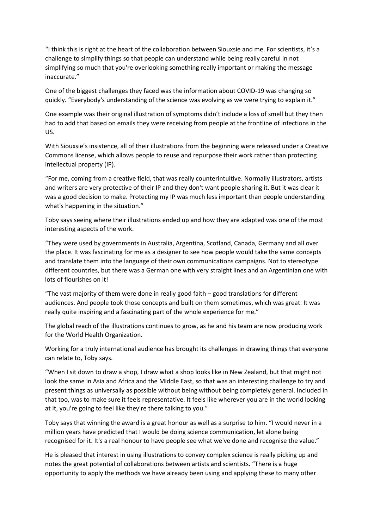"I think this is right at the heart of the collaboration between Siouxsie and me. For scientists, it's a challenge to simplify things so that people can understand while being really careful in not simplifying so much that you're overlooking something really important or making the message inaccurate."

One of the biggest challenges they faced was the information about COVID-19 was changing so quickly. "Everybody's understanding of the science was evolving as we were trying to explain it."

One example was their original illustration of symptoms didn't include a loss of smell but they then had to add that based on emails they were receiving from people at the frontline of infections in the US.

With Siouxsie's insistence, all of their illustrations from the beginning were released under a Creative Commons license, which allows people to reuse and repurpose their work rather than protecting intellectual property (IP).

"For me, coming from a creative field, that was really counterintuitive. Normally illustrators, artists and writers are very protective of their IP and they don't want people sharing it. But it was clear it was a good decision to make. Protecting my IP was much less important than people understanding what's happening in the situation."

Toby says seeing where their illustrations ended up and how they are adapted was one of the most interesting aspects of the work.

"They were used by governments in Australia, Argentina, Scotland, Canada, Germany and all over the place. It was fascinating for me as a designer to see how people would take the same concepts and translate them into the language of their own communications campaigns. Not to stereotype different countries, but there was a German one with very straight lines and an Argentinian one with lots of flourishes on it!

"The vast majority of them were done in really good faith – good translations for different audiences. And people took those concepts and built on them sometimes, which was great. It was really quite inspiring and a fascinating part of the whole experience for me."

The global reach of the illustrations continues to grow, as he and his team are now producing work for the World Health Organization.

Working for a truly international audience has brought its challenges in drawing things that everyone can relate to, Toby says.

"When I sit down to draw a shop, I draw what a shop looks like in New Zealand, but that might not look the same in Asia and Africa and the Middle East, so that was an interesting challenge to try and present things as universally as possible without being without being completely general. Included in that too, was to make sure it feels representative. It feels like wherever you are in the world looking at it, you're going to feel like they're there talking to you."

Toby says that winning the award is a great honour as well as a surprise to him. "I would never in a million years have predicted that I would be doing science communication, let alone being recognised for it. It's a real honour to have people see what we've done and recognise the value."

He is pleased that interest in using illustrations to convey complex science is really picking up and notes the great potential of collaborations between artists and scientists. "There is a huge opportunity to apply the methods we have already been using and applying these to many other